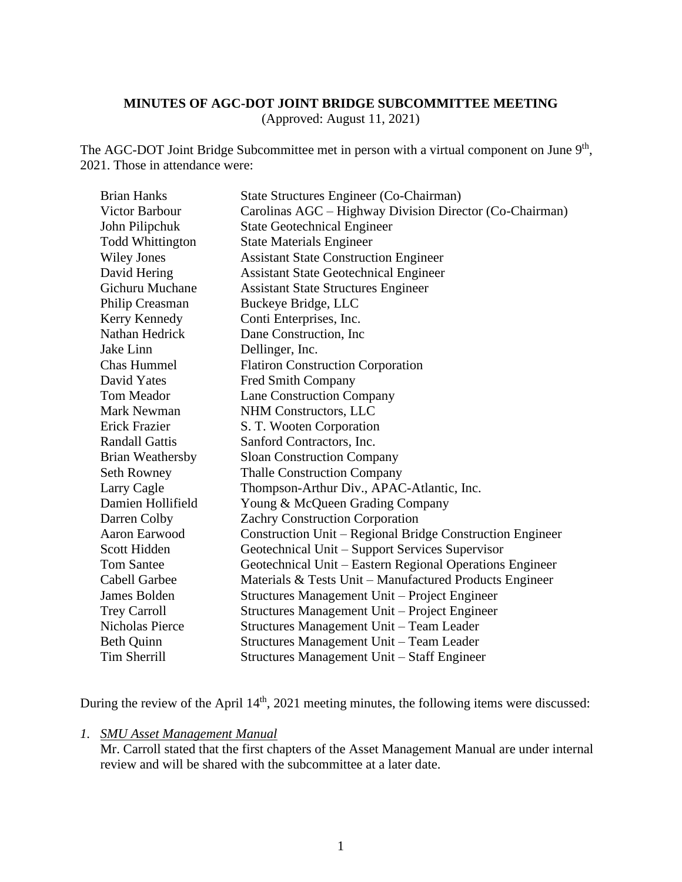## **MINUTES OF AGC-DOT JOINT BRIDGE SUBCOMMITTEE MEETING**

(Approved: August 11, 2021)

The AGC-DOT Joint Bridge Subcommittee met in person with a virtual component on June 9<sup>th</sup>, 2021. Those in attendance were:

| <b>Brian Hanks</b>      | State Structures Engineer (Co-Chairman)                   |
|-------------------------|-----------------------------------------------------------|
| Victor Barbour          | Carolinas AGC – Highway Division Director (Co-Chairman)   |
| John Pilipchuk          | <b>State Geotechnical Engineer</b>                        |
| <b>Todd Whittington</b> | <b>State Materials Engineer</b>                           |
| <b>Wiley Jones</b>      | <b>Assistant State Construction Engineer</b>              |
| David Hering            | <b>Assistant State Geotechnical Engineer</b>              |
| <b>Gichuru Muchane</b>  | <b>Assistant State Structures Engineer</b>                |
| Philip Creasman         | Buckeye Bridge, LLC                                       |
| Kerry Kennedy           | Conti Enterprises, Inc.                                   |
| Nathan Hedrick          | Dane Construction, Inc.                                   |
| Jake Linn               | Dellinger, Inc.                                           |
| Chas Hummel             | <b>Flatiron Construction Corporation</b>                  |
| David Yates             | Fred Smith Company                                        |
| Tom Meador              | <b>Lane Construction Company</b>                          |
| <b>Mark Newman</b>      | NHM Constructors, LLC                                     |
| Erick Frazier           | S. T. Wooten Corporation                                  |
| <b>Randall Gattis</b>   | Sanford Contractors, Inc.                                 |
| <b>Brian Weathersby</b> | <b>Sloan Construction Company</b>                         |
| Seth Rowney             | <b>Thalle Construction Company</b>                        |
| Larry Cagle             | Thompson-Arthur Div., APAC-Atlantic, Inc.                 |
| Damien Hollifield       | Young & McQueen Grading Company                           |
| Darren Colby            | Zachry Construction Corporation                           |
| Aaron Earwood           | Construction Unit – Regional Bridge Construction Engineer |
| Scott Hidden            | Geotechnical Unit - Support Services Supervisor           |
| <b>Tom Santee</b>       | Geotechnical Unit - Eastern Regional Operations Engineer  |
| <b>Cabell Garbee</b>    | Materials & Tests Unit – Manufactured Products Engineer   |
| James Bolden            | Structures Management Unit - Project Engineer             |
| <b>Trey Carroll</b>     | Structures Management Unit - Project Engineer             |
| Nicholas Pierce         | Structures Management Unit - Team Leader                  |
| <b>Beth Quinn</b>       | Structures Management Unit - Team Leader                  |
| <b>Tim Sherrill</b>     | Structures Management Unit - Staff Engineer               |

During the review of the April 14<sup>th</sup>, 2021 meeting minutes, the following items were discussed:

*1. SMU Asset Management Manual*

Mr. Carroll stated that the first chapters of the Asset Management Manual are under internal review and will be shared with the subcommittee at a later date.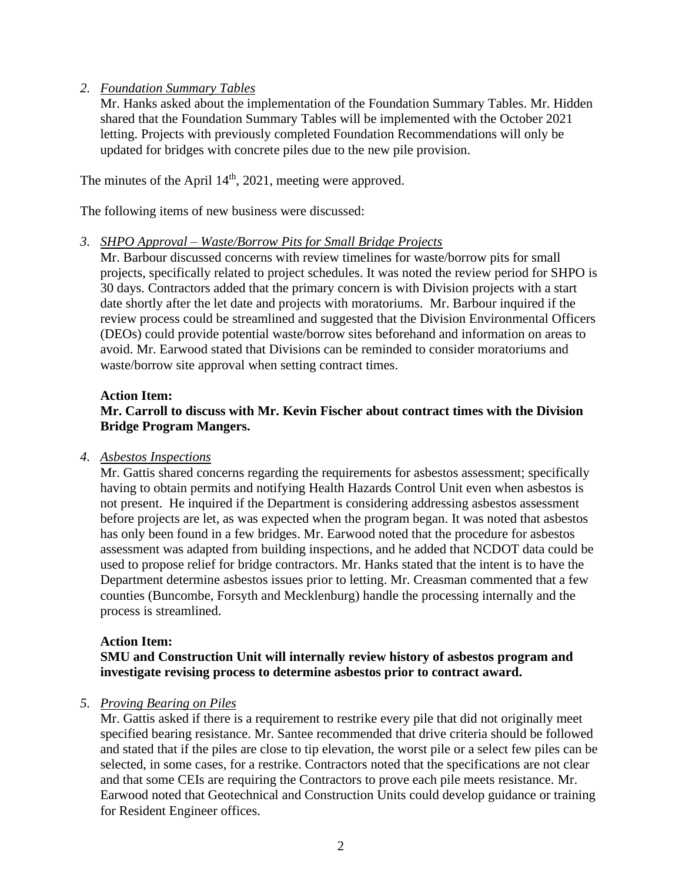## *2. Foundation Summary Tables*

Mr. Hanks asked about the implementation of the Foundation Summary Tables. Mr. Hidden shared that the Foundation Summary Tables will be implemented with the October 2021 letting. Projects with previously completed Foundation Recommendations will only be updated for bridges with concrete piles due to the new pile provision.

The minutes of the April  $14<sup>th</sup>$ , 2021, meeting were approved.

The following items of new business were discussed:

## *3. SHPO Approval – Waste/Borrow Pits for Small Bridge Projects*

Mr. Barbour discussed concerns with review timelines for waste/borrow pits for small projects, specifically related to project schedules. It was noted the review period for SHPO is 30 days. Contractors added that the primary concern is with Division projects with a start date shortly after the let date and projects with moratoriums. Mr. Barbour inquired if the review process could be streamlined and suggested that the Division Environmental Officers (DEOs) could provide potential waste/borrow sites beforehand and information on areas to avoid. Mr. Earwood stated that Divisions can be reminded to consider moratoriums and waste/borrow site approval when setting contract times.

## **Action Item:**

# **Mr. Carroll to discuss with Mr. Kevin Fischer about contract times with the Division Bridge Program Mangers.**

## *4. Asbestos Inspections*

Mr. Gattis shared concerns regarding the requirements for asbestos assessment; specifically having to obtain permits and notifying Health Hazards Control Unit even when asbestos is not present. He inquired if the Department is considering addressing asbestos assessment before projects are let, as was expected when the program began. It was noted that asbestos has only been found in a few bridges. Mr. Earwood noted that the procedure for asbestos assessment was adapted from building inspections, and he added that NCDOT data could be used to propose relief for bridge contractors. Mr. Hanks stated that the intent is to have the Department determine asbestos issues prior to letting. Mr. Creasman commented that a few counties (Buncombe, Forsyth and Mecklenburg) handle the processing internally and the process is streamlined.

## **Action Item:**

## **SMU and Construction Unit will internally review history of asbestos program and investigate revising process to determine asbestos prior to contract award.**

## *5. Proving Bearing on Piles*

Mr. Gattis asked if there is a requirement to restrike every pile that did not originally meet specified bearing resistance. Mr. Santee recommended that drive criteria should be followed and stated that if the piles are close to tip elevation, the worst pile or a select few piles can be selected, in some cases, for a restrike. Contractors noted that the specifications are not clear and that some CEIs are requiring the Contractors to prove each pile meets resistance. Mr. Earwood noted that Geotechnical and Construction Units could develop guidance or training for Resident Engineer offices.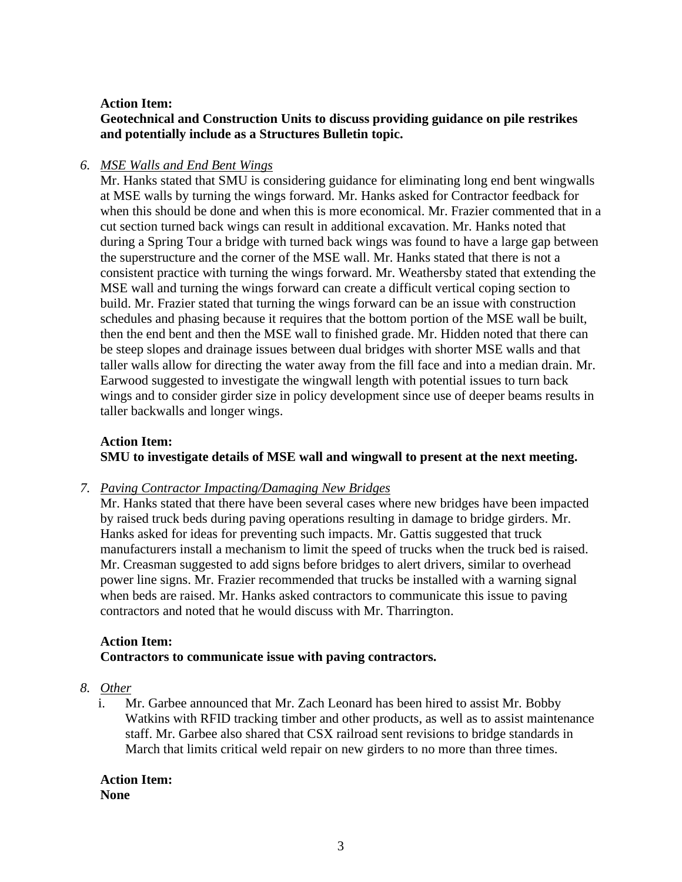## **Action Item:**

**Geotechnical and Construction Units to discuss providing guidance on pile restrikes and potentially include as a Structures Bulletin topic.** 

## *6. MSE Walls and End Bent Wings*

Mr. Hanks stated that SMU is considering guidance for eliminating long end bent wingwalls at MSE walls by turning the wings forward. Mr. Hanks asked for Contractor feedback for when this should be done and when this is more economical. Mr. Frazier commented that in a cut section turned back wings can result in additional excavation. Mr. Hanks noted that during a Spring Tour a bridge with turned back wings was found to have a large gap between the superstructure and the corner of the MSE wall. Mr. Hanks stated that there is not a consistent practice with turning the wings forward. Mr. Weathersby stated that extending the MSE wall and turning the wings forward can create a difficult vertical coping section to build. Mr. Frazier stated that turning the wings forward can be an issue with construction schedules and phasing because it requires that the bottom portion of the MSE wall be built, then the end bent and then the MSE wall to finished grade. Mr. Hidden noted that there can be steep slopes and drainage issues between dual bridges with shorter MSE walls and that taller walls allow for directing the water away from the fill face and into a median drain. Mr. Earwood suggested to investigate the wingwall length with potential issues to turn back wings and to consider girder size in policy development since use of deeper beams results in taller backwalls and longer wings.

## **Action Item: SMU to investigate details of MSE wall and wingwall to present at the next meeting.**

## *7. Paving Contractor Impacting/Damaging New Bridges*

Mr. Hanks stated that there have been several cases where new bridges have been impacted by raised truck beds during paving operations resulting in damage to bridge girders. Mr. Hanks asked for ideas for preventing such impacts. Mr. Gattis suggested that truck manufacturers install a mechanism to limit the speed of trucks when the truck bed is raised. Mr. Creasman suggested to add signs before bridges to alert drivers, similar to overhead power line signs. Mr. Frazier recommended that trucks be installed with a warning signal when beds are raised. Mr. Hanks asked contractors to communicate this issue to paving contractors and noted that he would discuss with Mr. Tharrington.

# **Action Item:**

# **Contractors to communicate issue with paving contractors.**

# *8. Other*

i. Mr. Garbee announced that Mr. Zach Leonard has been hired to assist Mr. Bobby Watkins with RFID tracking timber and other products, as well as to assist maintenance staff. Mr. Garbee also shared that CSX railroad sent revisions to bridge standards in March that limits critical weld repair on new girders to no more than three times.

## **Action Item: None**